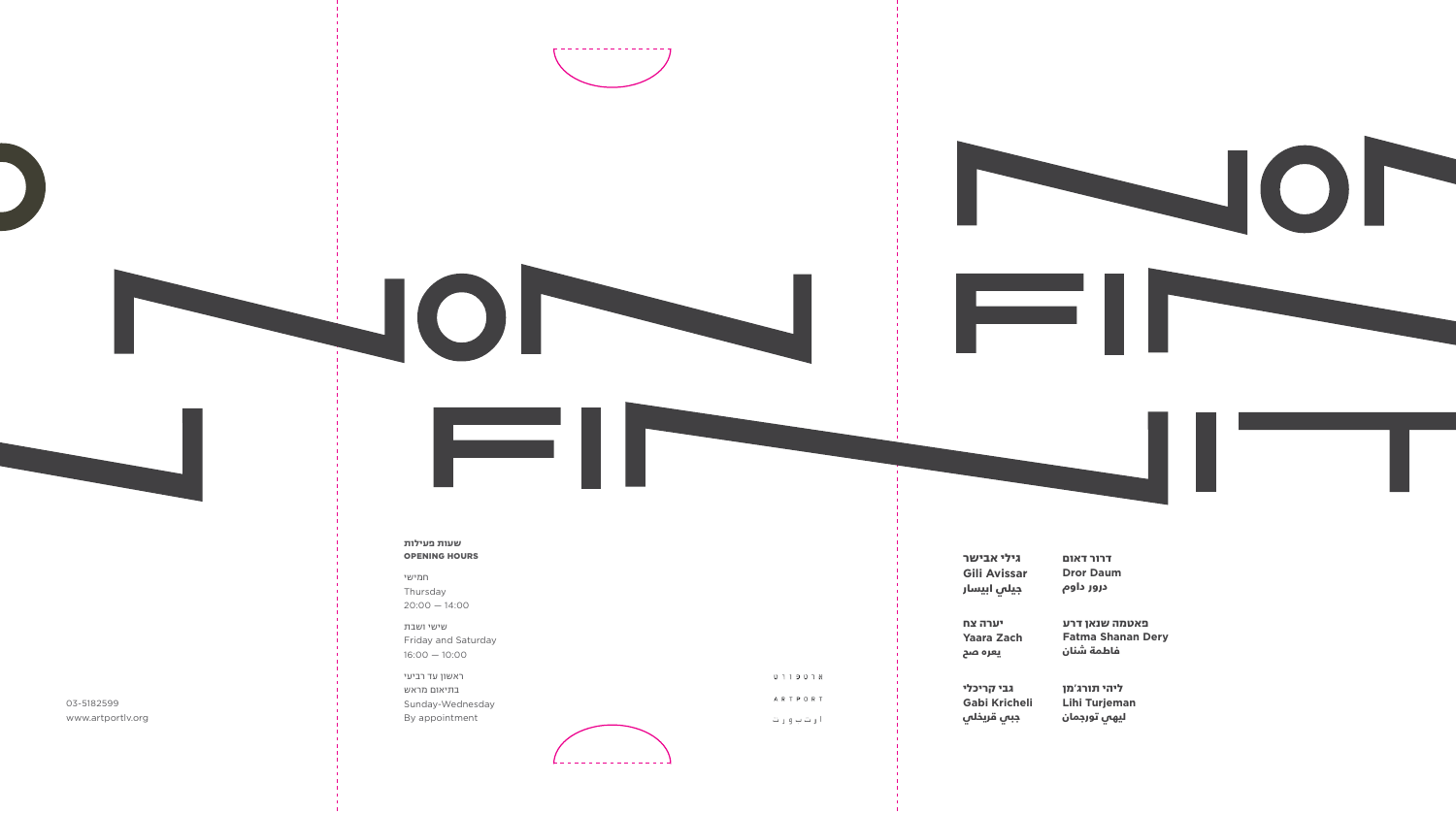⋿

--------------

**שעות פעילות** OPENING HOURS

חמישי Thursday 20:00 — 14:00

שישי ושבת Friday and Saturday 16:00 — 10:00

ראשון עד רביעי בתיאום מראש Sunday-Wednesday By appointment

ארטפורט

ARTPORT

ارتبورت

03-5182599 www.artportlv.org



**ליהי תורג׳מן Lihi Turjeman** ليهي تورجمان

**פאטמה שנאן דרע Fatma Shanan Dery** فاطمة شنان

**דרור דאום Dror Daum** درور داوم

**גבי קריכלי Gabi Kricheli** جبي قريخلي

**יערה צח Yaara Zach** يعره صح

**גילי אבישר Gili Avissar** جيلي ابيسار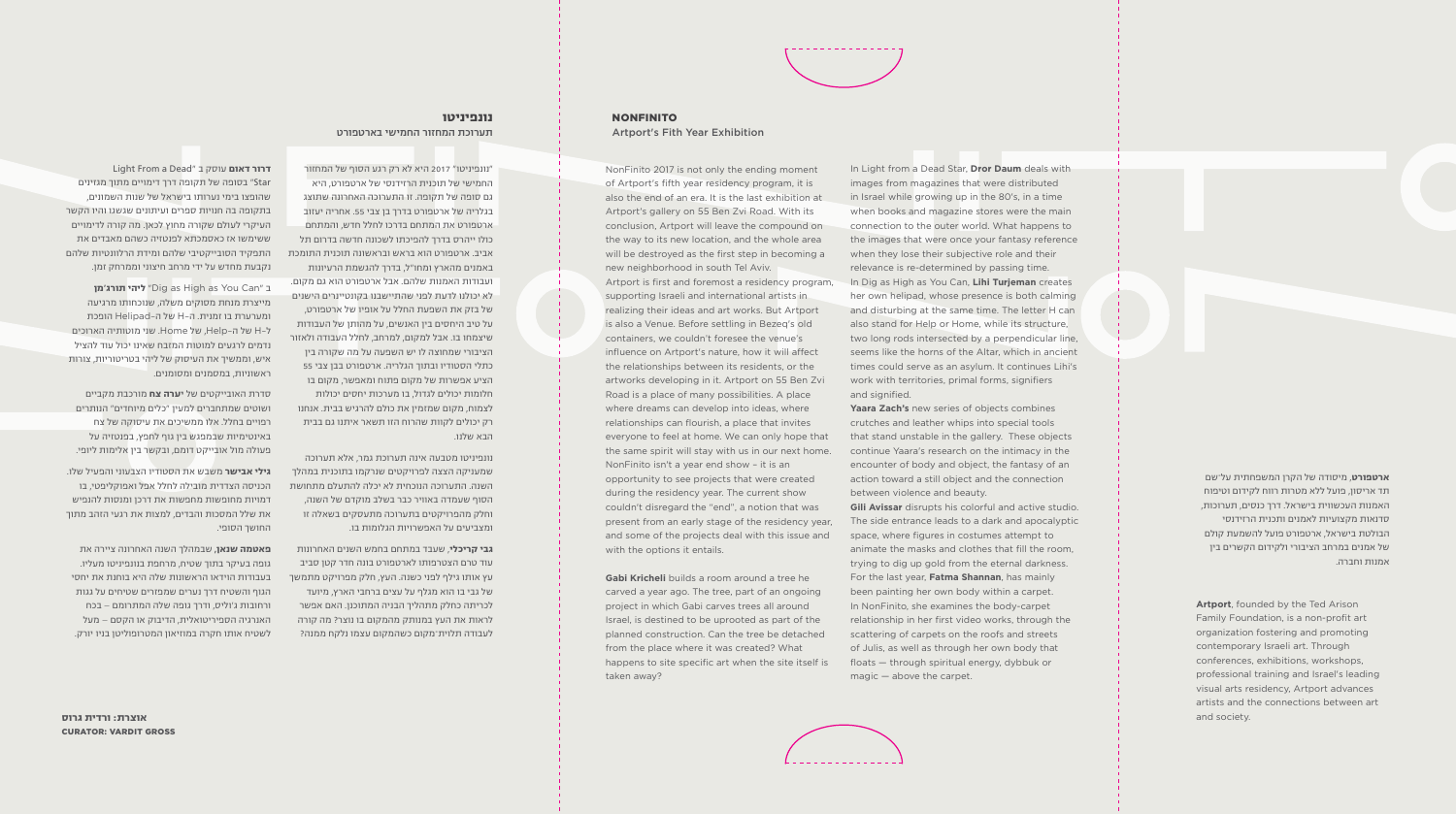"נונפיניטו" 2017 היא לא רק רגע הסוף של המחזור החמישי של תוכנית הרזידנסי של ארטפורט, היא גם סופה של תקופה. זו התערוכה האחרונה שתוצג בגלריה של ארטפורט בדרך בן צבי 55. אחריה יעזוב ארטפורט את המתחם בדרכו לחלל חדש, והמתחם כולו ייהרס בדרך להפיכתו לשכונה חדשה בדרום תל אביב. ארטפורט הוא בראש ובראשונה תוכנית התומכת באמנים מהארץ ומחו"ל, בדרך להגשמת הרעיונות ועבודות האמנות שלהם. אבל ארטפורט הוא גם מקום. לא יכולנו לדעת לפני שהתיישבנו בקונטיינרים הישנים של בזק את השפעת החלל על אופיו של ארטפורט, על טיב היחסים בין האנשים, על מהותן של העבודות שיצמחו בו. אבל למקום, למרחב, לחלל העבודה ולאזור הציבורי שמחוצה לו יש השפעה על מה שקורה בין כתלי הסטודיו ובתוך הגלריה. ארטפורט בבן צבי 55 הציע אפשרות של מקום פתוח ומאפשר, מקום בו חלומות יכולים לגדול, בו מערכות יחסים יכולות לצמוח, מקום שמזמין את כולם להרגיש בבית. אנחנו רק יכולים לקוות שהרוח הזו תשאר איתנו גם בבית הבא שלנו.

נונפיניטו מטבעה אינה תערוכת גמר, אלא תערוכה שמעניקה הצצה לפרויקטים שנרקמו בתוכנית במהלך השנה. התערוכה הנוכחית לא יכלה להתעלם מתחושת הסוף שעמדה באוויר כבר בשלב מוקדם של השנה, וחלק מהפרויקטים בתערוכה מתעסקים בשאלה זו ומצביעים על האפשרויות הגלומות בו.

**גבי קריכלי**, שעבד במתחם בחמש השנים האחרונות עוד טרם הצטרפותו לארטפורט בונה חדר קטן סביב עץ אותו גילף לפני כשנה. העץ, חלק מפרויקט מתמשך של גבי בו הוא מגלף על עצים ברחבי הארץ, מיועד לכריתה כחלק מתהליך הבניה המתוכנן. האם אפשר לראות את העץ במנותק מהמקום בו נוצר? מה קורה לעבודה תלוית–מקום כשהמקום עצמו נלקח ממנה?

**דרור דאום** עוסק ב ״Dead a From Light Star״ בסופה של תקופה דרך דימויים מתוך מגזינים שהופצו בימי נערותו בישראל של שנות השמונים, בתקופה בה חנויות ספרים ועיתונים שגשגו והיו הקשר העיקרי לעולם שקורה מחוץ לכאן. מה קורה לדימויים ששימשו אז כאסמכתא לפנטזיה כשהם מאבדים את התפקיד הסובייקטיבי שלהם ומידת הרלוונטיות שלהם נקבעת מחדש על ידי מרחב חיצוני וממרחק זמן.

ב ״Can You as High as Dig״ **ליהי תורג'מן** מייצרת מנחת מסוקים משלה, שנוכחותו מרגיעה ומערערת בו זמנית. ה-H של ה-Helipad הופכת ל-H של ה-Help, של Home. שני מוטותיה הארוכים נדמים לרגעים למוטות המזבח שאינו יכול עוד להציל איש, וממשיך את העיסוק של ליהי בטריטוריות, צורות ראשוניות, במסמנים ומסומנים.

סדרת האובייקטים של י**ערה צח** מורכבת מקביים ושוטים שמתחברים למעין "כלים מיוחדים" הנותרים רפויים בחלל. אלו ממשיכים את עיסוקה של צח באינטימיות שבמפגש בין גוף לחפץ, בפנטזיה על פעולה מול אובייקט דומם, ובקשר בין אלימות ליופי.

**גילי אבישר** משבש את הסטודיו הצבעוני והפעיל שלו. הכניסה הצדדית מובילה לחלל אפל ואפוקליפטי, בו דמויות מחופשות מחפשות את דרכן ומנסות להנפיש את שלל המסכות והבדים, למצות את רגעי הזהב מתוך החושך הסופי.

**פאטמה שנאן***,* שבמהלך השנה האחרונה ציירה את גופה בעיקר בתוך שטיח, מרחפת בנונפיניטו מעליו. בעבודות הוידאו הראשונות שלה היא בוחנת את יחסי הגוף והשטיח דרך נערים שמפזרים שטיחים על גגות ורחובות ג'וליס, ודרך גופה שלה המתרומם — בכח האנרגיה הספיריטואלית, הדיבוק או הקסם — מעל לשטיח אותו חקרה במוזיאון המטרופוליטן בניו יורק.

### NONFINITO Artport's Fith Year Exhibition

**אוצרת: ורדית גרוס** CURATOR: VARDIT GROSS הבולטת בישראל, ארטפורט פועל להשמעת קולם של אמנים במרחב הציבורי ולקידום הקשרים בין organization fostering and promoting אמנות וחברה. **ארטפורט**, מיסודה של הקרן המשפחתית על–שם תד אריסון, פועל ללא מטרות רווח לקידום וטיפוח האמנות העכשווית בישראל. דרך כנסים, תערוכות, סדנאות מקצועיות לאמנים ותכנית הרזידנסי

Artport, founded by the Ted Arison Family Foundation, is a non-profit art organization fostering and promoting contemporary Israeli art. Through conferences, exhibitions, workshops, professional training and Israel's leading visual arts residency, Artport advances artists and the connections between art and society.

NonFinito 2017 is not only the ending moment of Artport's fifth year residency program, it is also the end of an era. It is the last exhibition at Artport's gallery on 55 Ben Zvi Road. With its conclusion, Artport will leave the compound on the way to its new location, and the whole area will be destroyed as the first step in becoming a new neighborhood in south Tel Aviv. Artport is first and foremost a residency program, supporting Israeli and international artists in realizing their ideas and art works. But Artport is also a Venue. Before settling in Bezeq's old containers, we couldn't foresee the venue's influence on Artport's nature, how it will affect the relationships between its residents, or the artworks developing in it. Artport on 55 Ben Zvi Road is a place of many possibilities. A place where dreams can develop into ideas, where relationships can flourish, a place that invites everyone to feel at home. We can only hope that the same spirit will stay with us in our next home. NonFinito isn't a year end show – it is an opportunity to see projects that were created during the residency year. The current show couldn't disregard the "end", a notion that was present from an early stage of the residency year, and some of the projects deal with this issue and with the options it entails.

**Gabi Kricheli** builds a room around a tree he carved a year ago. The tree, part of an ongoing project in which Gabi carves trees all around Israel, is destined to be uprooted as part of the planned construction. Can the tree be detached from the place where it was created? What happens to site specific art when the site itself is taken away?

## In Light from a Dead Star, **Dror Daum** deals with images from magazines that were distributed in Israel while growing up in the 80's, in a time when books and magazine stores were the main connection to the outer world. What happens to the images that were once your fantasy reference when they lose their subjective role and their relevance is re-determined by passing time. In Dig as High as You Can, **Lihi Turjeman** creates her own helipad, whose presence is both calming and disturbing at the same time. The letter H can also stand for Help or Home, while its structure, two long rods intersected by a perpendicular line, seems like the horns of the Altar, which in ancient times could serve as an asylum. It continues Lihi's work with territories, primal forms, signifiers and signified.

**Yaara Zach's** new series of objects combines crutches and leather whips into special tools that stand unstable in the gallery. These objects continue Yaara's research on the intimacy in the encounter of body and object, the fantasy of an action toward a still object and the connection between violence and beauty.

**Gili Avissar** disrupts his colorful and active studio. The side entrance leads to a dark and apocalyptic space, where figures in costumes attempt to animate the masks and clothes that fill the room, trying to dig up gold from the eternal darkness. For the last year, **Fatma Shannan**, has mainly been painting her own body within a carpet. In NonFinito, she examines the body-carpet relationship in her first video works, through the scattering of carpets on the roofs and streets of Julis, as well as through her own body that floats — through spiritual energy, dybbuk or magic — above the carpet.



# **נונפיניטו** תערוכת המחזור החמישי בארטפורט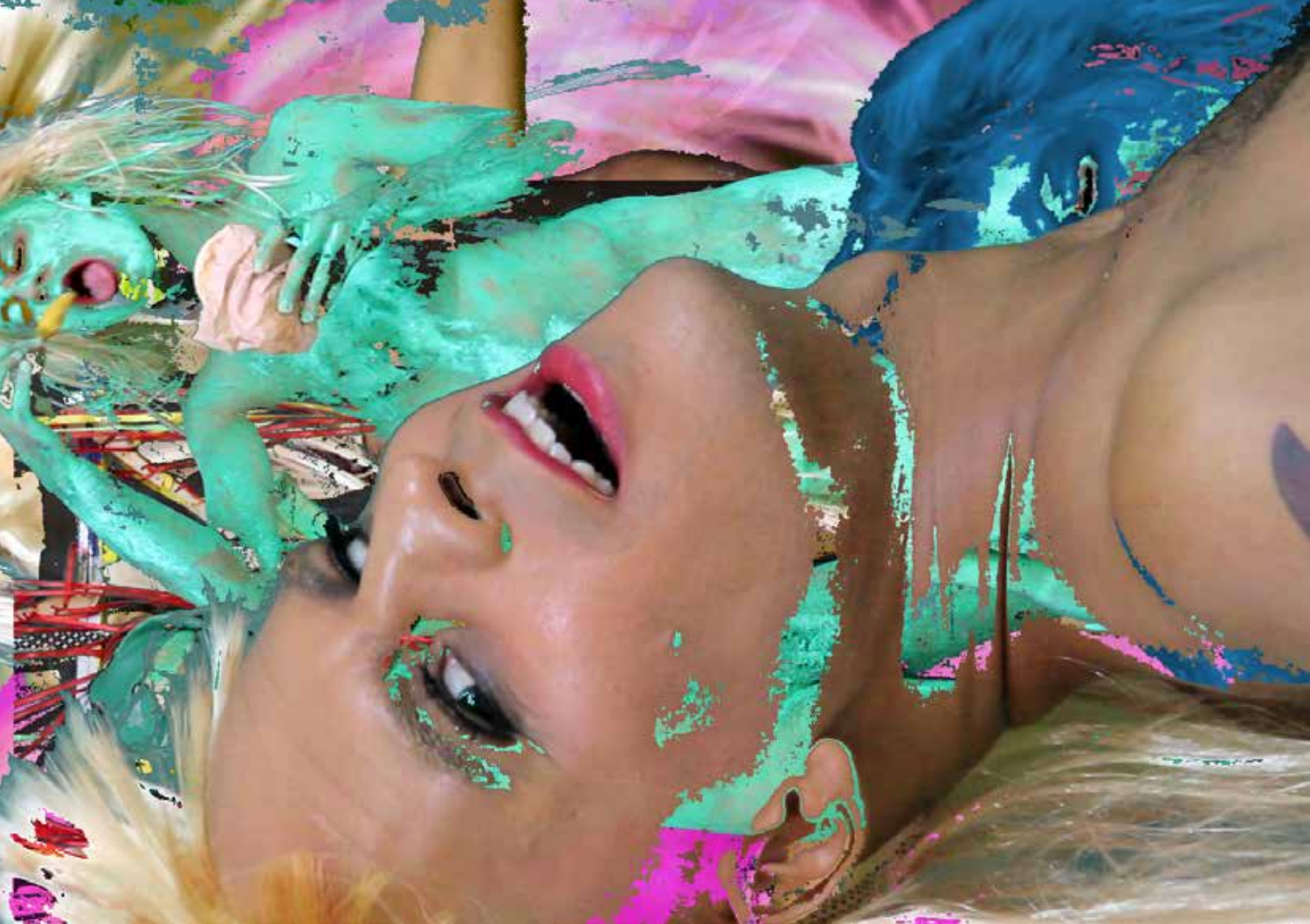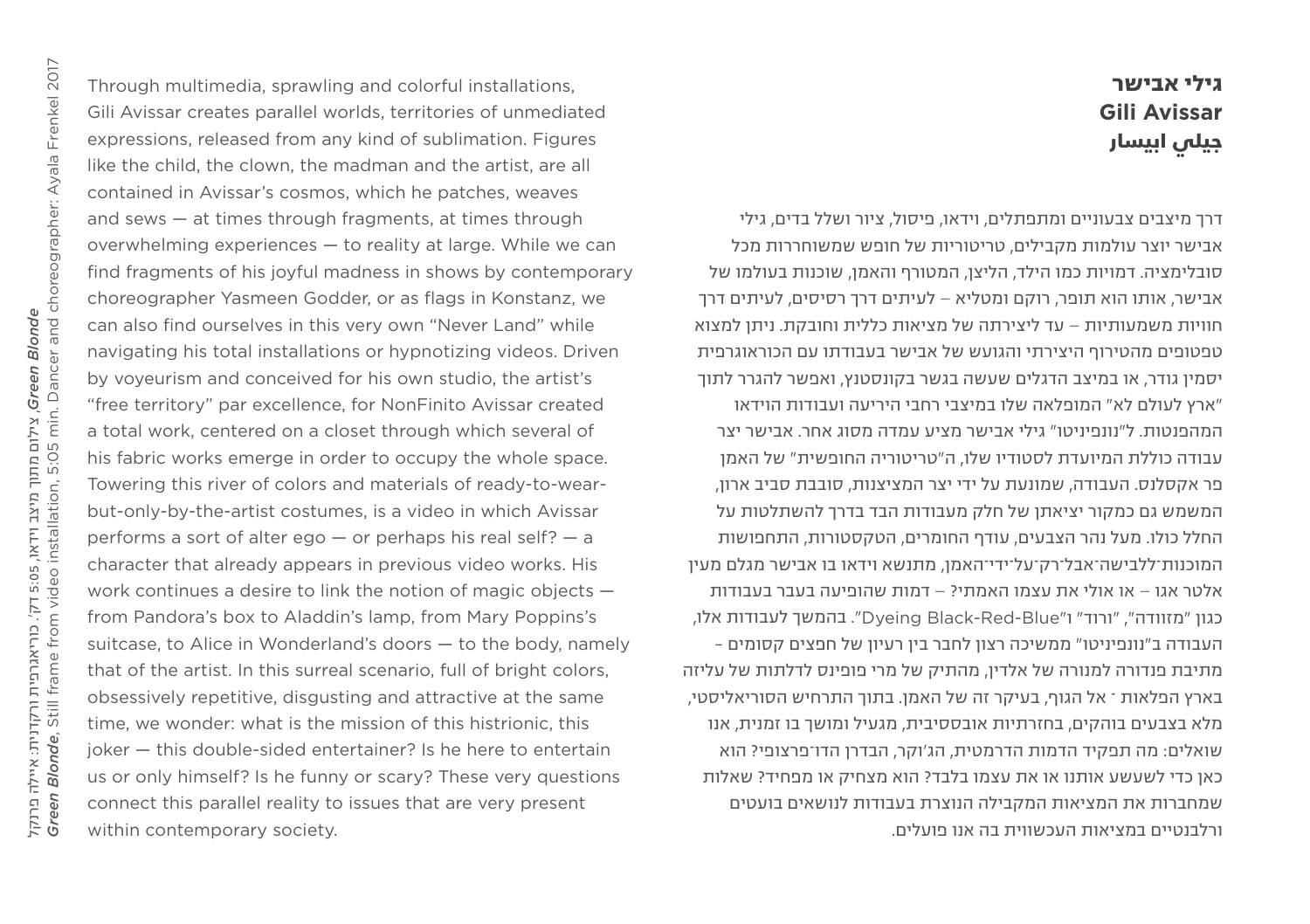דרך מיצבים צבעוניים ומתפתלים, וידאו, פיסול, ציור ושלל בדים, גילי אבישר יוצר עולמות מקבילים, טריטוריות של חופש שמשוחררות מכל סובלימציה. דמויות כמו הילד, הליצן, המטורף והאמן, שוכנות בעולמו של אבישר, אותו הוא תופר, רוקם ומטליא — לעיתים דרך רסיסים, לעיתים דרך חוויות משמעותיות — עד ליצירתה של מציאות כללית וחובקת. ניתן למצוא טפטופים מהטירוף היצירתי והגועש של אבישר בעבודתו עם הכוראוגרפית יסמין גודר, או במיצב הדגלים שעשה בגשר בקונסטנץ, ואפשר להגרר לתוך "ארץ לעולם לא" המופלאה שלו במיצבי רחבי היריעה ועבודות הוידאו המהפנטות. ל״נונפיניטו״ גילי אבישר מציע עמדה מסוג אחר. אבישר יצר עבודה כוללת המיועדת לסטודיו שלו, ה״טריטוריה החופשית״ של האמן פר אקסלנס. העבודה, שמונעת על ידי יצר המציצנות, סובבת סביב ארון, המשמש גם כמקור יציאתן של חלק מעבודות הבד בדרך להשתלטות על החלל כולו. מעל נהר הצבעים, עודף החומרים, הטקסטורות, התחפושות המוכנות–ללבישה–אבל–רק–על–ידי–האמן, מתנשא וידאו בו אבישר מגלם מעין אלטר אגו — או אולי את עצמו האמתי? — דמות שהופיעה בעבר בעבודות כגון ״מזוודה״, ״ורוד״ ו״Blue-Red-Black Dyeing״. בהמשך לעבודות אלו, העבודה ב״נונפיניטו״ ממשיכה רצון לחבר בין רעיון של חפצים קסומים - מתיבת פנדורה למנורה של אלדין, מהתיק של מרי פופינס לדלתות של עליזה בארץ הפלאות – אל הגוף, בעיקר זה של האמן. בתוך התרחיש הסוריאליסטי, מלא בצבעים בוהקים, בחזרתיות אובססיבית, מגעיל ומושך בו זמנית, אנו שואלים: מה תפקיד הדמות הדרמטית, הג׳וקר, הבדרן הדו–פרצופי? הוא כאן כדי לשעשע אותנו או את עצמו בלבד? הוא מצחיק או מפחיד? שאלות שמחברות את המציאות המקבילה הנוצרת בעבודות לנושאים בועטים ורלבנטיים במציאות העכשווית בה אנו פועלים.

Through multimedia, sprawling and colorful installations, Gili Avissar creates parallel worlds, territories of unmediated expressions, released from any kind of sublimation. Figures like the child, the clown, the madman and the artist, are all contained in Avissar's cosmos, which he patches, weaves and sews — at times through fragments, at times through overwhelming experiences — to reality at large. While we can find fragments of his joyful madness in shows by contemporary choreographer Yasmeen Godder, or as flags in Konstanz, we can also find ourselves in this very own "Never Land" while navigating his total installations or hypnotizing videos. Driven by voyeurism and conceived for his own studio, the artist's "free territory" par excellence, for NonFinito Avissar created a total work, centered on a closet through which several of his fabric works emerge in order to occupy the whole space. Towering this river of colors and materials of ready-to-wearbut-only-by-the-artist costumes, is a video in which Avissar performs a sort of alter ego — or perhaps his real self? — a character that already appears in previous video works. His work continues a desire to link the notion of magic objects from Pandora's box to Aladdin's lamp, from Mary Poppins's suitcase, to Alice in Wonderland's doors — to the body, namely that of the artist. In this surreal scenario, full of bright colors, obsessively repetitive, disgusting and attractive at the same time, we wonder: what is the mission of this histrionic, this joker — this double-sided entertainer? Is he here to entertain us or only himself? Is he funny or scary? These very questions connect this parallel reality to issues that are very present within contemporary society.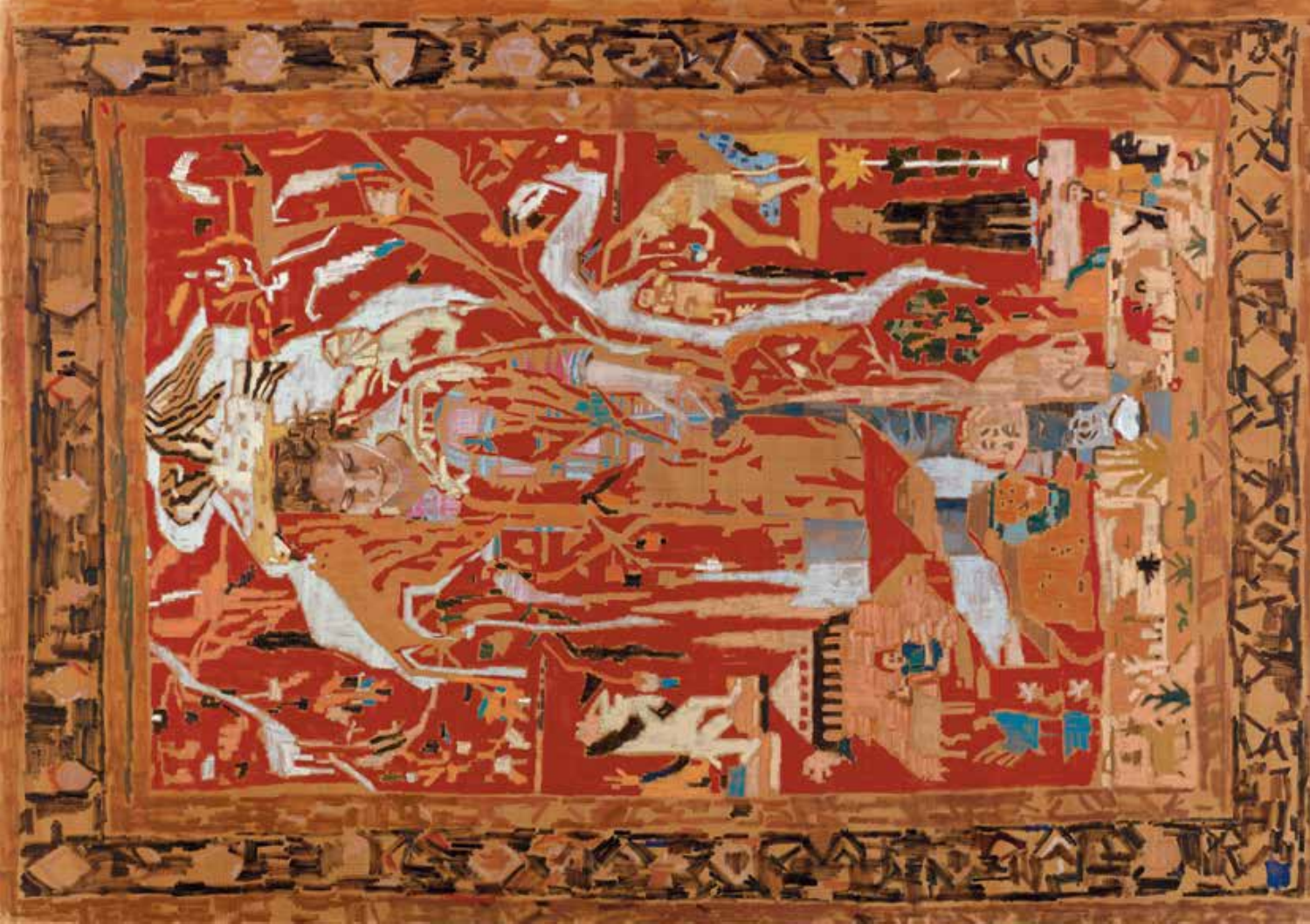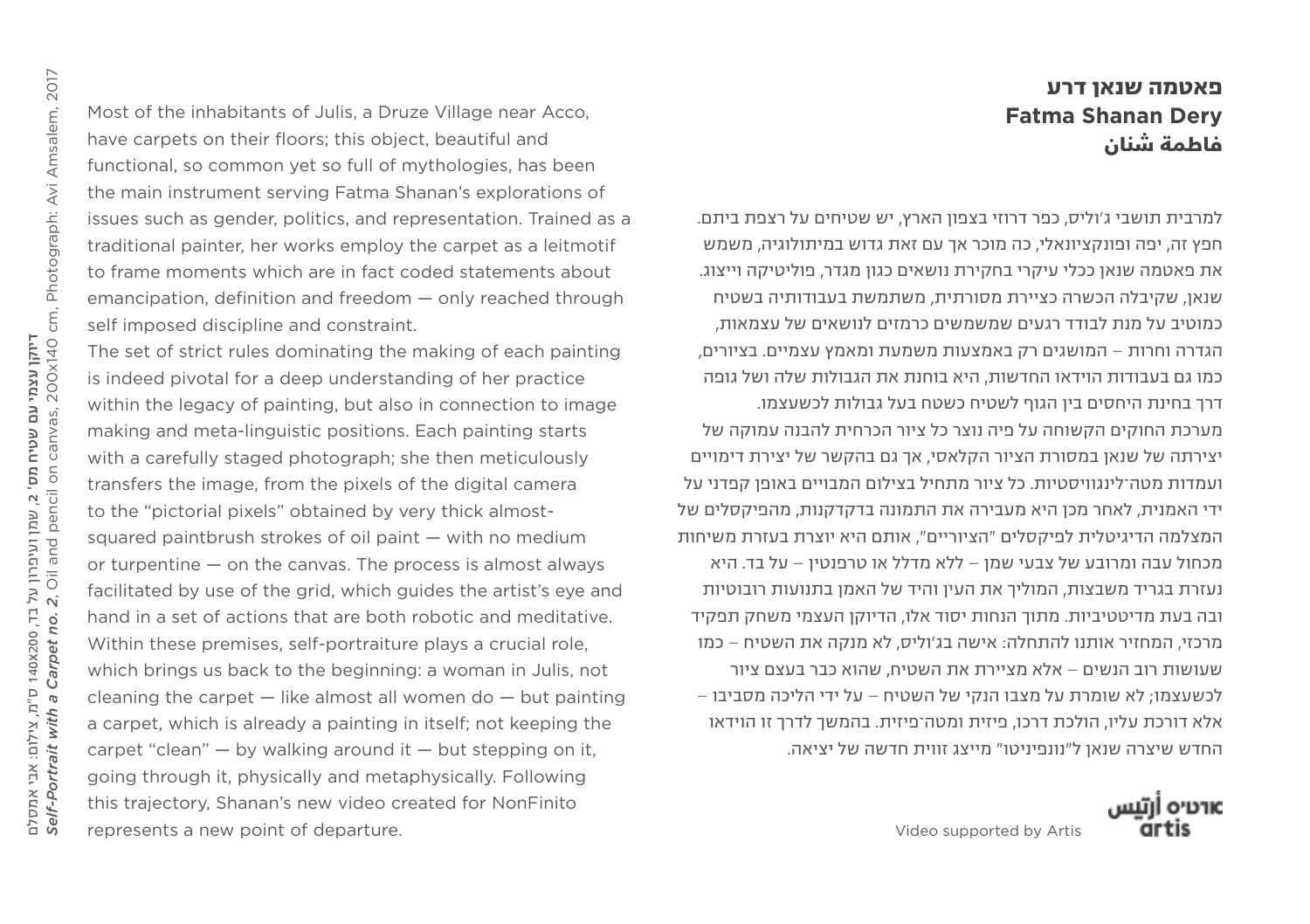למרבית תושבי ג׳וליס, כפר דרוזי בצפון הארץ, יש שטיחים על רצפת ביתם. חפץ זה, יפה ופונקציונאלי, כה מוכר אך עם זאת גדוש במיתולוגיה, משמש את פאטמה שנאן ככלי עיקרי בחקירת נושאים כגון מגדר, פוליטיקה וייצוג. שנאן, שקיבלה הכשרה כציירת מסורתית, משתמשת בעבודותיה בשטיח כמוטיב על מנת לבודד רגעים שמשמשים כרמזים לנושאים של עצמאות, הגדרה וחרות — המושגים רק באמצעות משמעת ומאמץ עצמיים. בציורים, כמו גם בעבודות הוידאו החדשות, היא בוחנת את הגבולות שלה ושל גופה דרך בחינת היחסים בין הגוף לשטיח כשטח בעל גבולות לכשעצמו. מערכת החוקים הקשוחה על פיה נוצר כל ציור הכרחית להבנה עמוקה של יצירתה של שנאן במסורת הציור הקלאסי, אך גם בהקשר של יצירת דימויים ועמדות מטה–לינגוויסטיות. כל ציור מתחיל בצילום המבויים באופן קפדני על ידי האמנית, לאחר מכן היא מעבירה את התמונה בדקדקנות, מהפיקסלים של המצלמה הדיגיטלית לפיקסלים ״הציוריים״, אותם היא יוצרת בעזרת משיחות מכחול עבה ומרובע של צבעי שמן — ללא מדלל או טרפנטין — על בד. היא נעזרת בגריד משבצות, המוליך את העין והיד של האמן בתנועות רובוטיות ובה בעת מדיטטיביות. מתוך הנחות יסוד אלו, הדיוקן העצמי משחק תפקיד מרכזי, המחזיר אותנו להתחלה: אישה בג׳וליס, לא מנקה את השטיח — כמו שעושות רוב הנשים — אלא מציירת את השטיח, שהוא כבר בעצם ציור לכשעצמו; לא שומרת על מצבו הנקי של השטיח — על ידי הליכה מסביבו — אלא דורכת עליו, הולכת דרכו, פיזית ומטה–פיזית. בהמשך לדרך זו הוידאו החדש שיצרה שנאן ל״נונפיניטו״ מייצג זווית חדשה של יציאה.

Video supported by Artis

Most of the inhabitants of Julis, a Druze Village near Acco, have carpets on their floors; this object, beautiful and functional, so common yet so full of mythologies, has been the main instrument serving Fatma Shanan's explorations of issues such as gender, politics, and representation. Trained as a traditional painter, her works employ the carpet as a leitmotif to frame moments which are in fact coded statements about emancipation, definition and freedom — only reached through self imposed discipline and constraint.

The set of strict rules dominating the making of each painting is indeed pivotal for a deep understanding of her practice within the legacy of painting, but also in connection to image making and meta-linguistic positions. Each painting starts with a carefully staged photograph; she then meticulously transfers the image, from the pixels of the digital camera to the "pictorial pixels" obtained by very thick almostsquared paintbrush strokes of oil paint — with no medium or turpentine — on the canvas. The process is almost always facilitated by use of the grid, which guides the artist's eye and hand in a set of actions that are both robotic and meditative. Within these premises, self-portraiture plays a crucial role, which brings us back to the beginning: a woman in Julis, not cleaning the carpet  $-$  like almost all women do  $-$  but painting a carpet, which is already a painting in itself; not keeping the carpet "clean"  $-$  by walking around it  $-$  but stepping on it, going through it, physically and metaphysically. Following this trajectory, Shanan's new video created for NonFinito represents a new point of departure.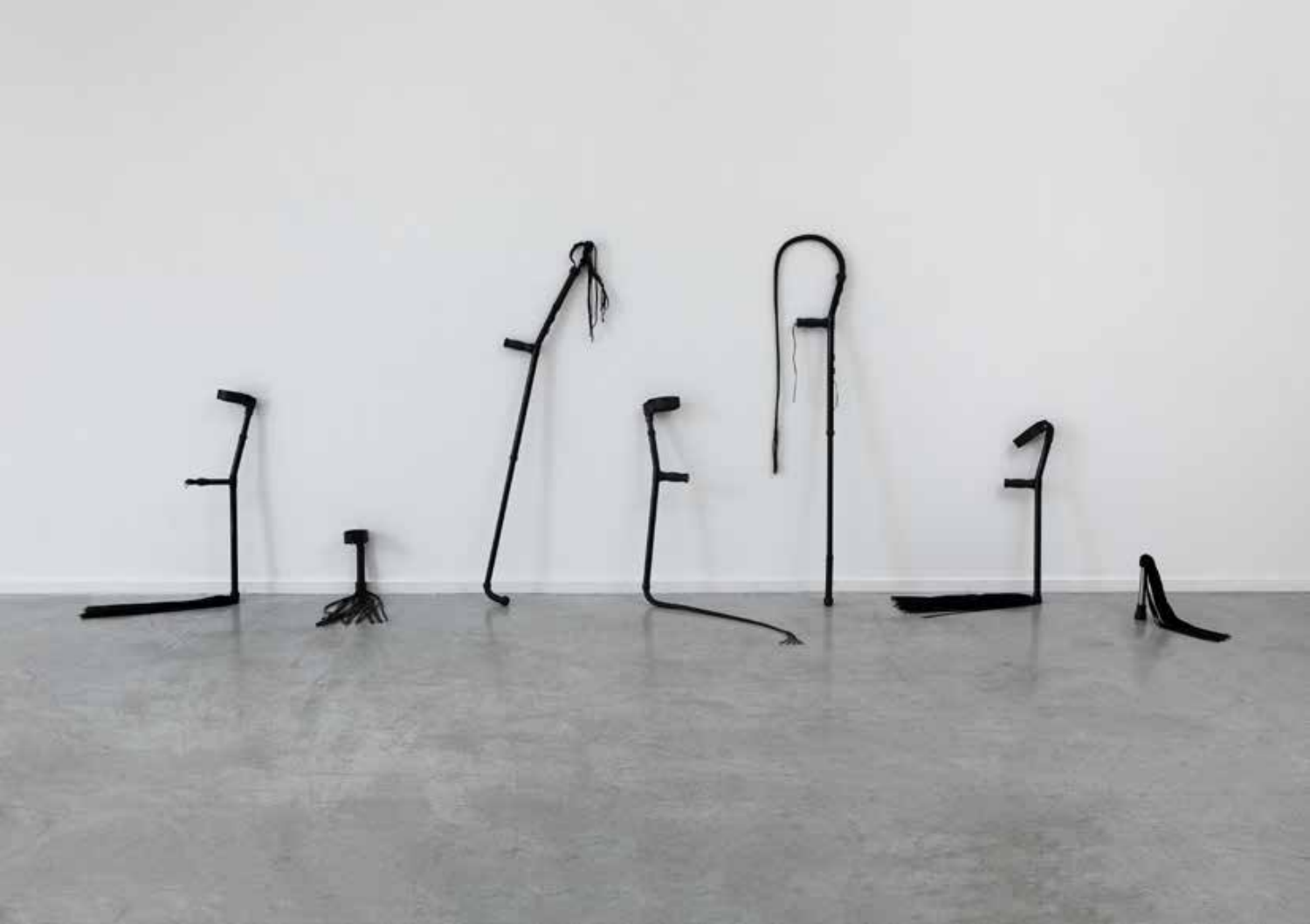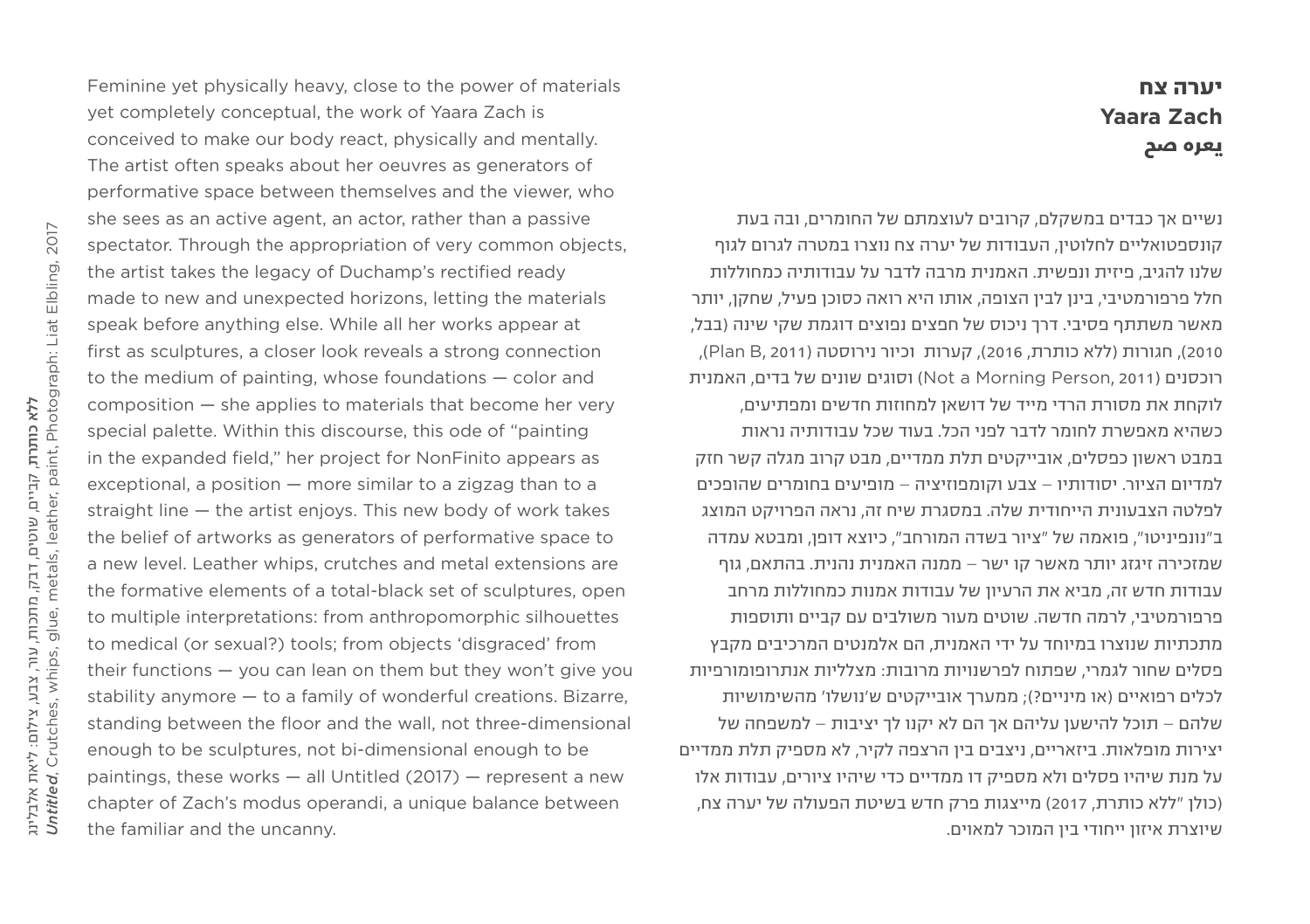**יערה צח Yaara Zach** يعره صح

נשיים אך כבדים במשקלם, קרובים לעוצמתם של החומרים, ובה בעת קונספטואליים לחלוטין, העבודות של יערה צח נוצרו במטרה לגרום לגוף שלנו להגיב, פיזית ונפשית. האמנית מרבה לדבר על עבודותיה כמחוללות חלל פרפורמטיבי, בינן לבין הצופה, אותו היא רואה כסוכן פעיל, שחקן, יותר מאשר משתתף פסיבי. דרך ניכוס של חפצים נפוצים דוגמת שקי שינה )בבל, 2010(, חגורות )ללא כותרת, 2016(, קערות וכיור נירוסטה )2011 ,B Plan), רוכסנים )2011 ,Person Morning a Not )וסוגים שונים של בדים, האמנית לוקחת את מסורת הרדי מייד של דושאן למחוזות חדשים ומפתיעים, כשהיא מאפשרת לחומר לדבר לפני הכל. בעוד שכל עבודותיה נראות במבט ראשון כפסלים, אובייקטים תלת ממדיים, מבט קרוב מגלה קשר חזק למדיום הציור. יסודותיו — צבע וקומפוזיציה — מופיעים בחומרים שהופכים לפלטה הצבעונית הייחודית שלה. במסגרת שיח זה, נראה הפרויקט המוצג ב"נונפיניטו", פואמה של "ציור בשדה המורחב", כיוצא דופן, ומבטא עמדה שמזכירה זיגזג יותר מאשר קו ישר — ממנה האמנית נהנית. בהתאם, גוף עבודות חדש זה, מביא את הרעיון של עבודות אמנות כמחוללות מרחב פרפורמטיבי, לרמה חדשה. שוטים מעור משולבים עם קביים ותוספות מתכתיות שנוצרו במיוחד על ידי האמנית, הם אלמנטים המרכיבים מקבץ פסלים שחור לגמרי, שפתוח לפרשנויות מרובות: מצלליות אנתרופומורפיות לכלים רפואיים )או מיניים?(; ממערך אובייקטים ש'נושלו' מהשימושיות שלהם — תוכל להישען עליהם אך הם לא יקנו לך יציבות — למשפחה של יצירות מופלאות. ביזאריים, ניצבים בין הרצפה לקיר, לא מספיק תלת ממדיים על מנת שיהיו פסלים ולא מספיק דו ממדיים כדי שיהיו ציורים, עבודות אלו )כולן "ללא כותרת, 2017( מייצגות פרק חדש בשיטת הפעולה של יערה צח, שיוצרת איזון ייחודי בין המוכר למאוים.

Feminine yet physically heavy, close to the power of materials yet completely conceptual, the work of Yaara Zach is conceived to make our body react, physically and mentally. The artist often speaks about her oeuvres as generators of performative space between themselves and the viewer, who she sees as an active agent, an actor, rather than a passive spectator. Through the appropriation of very common objects, the artist takes the legacy of Duchamp's rectified ready made to new and unexpected horizons, letting the materials speak before anything else. While all her works appear at first as sculptures, a closer look reveals a strong connection to the medium of painting, whose foundations — color and composition — she applies to materials that become her very special palette. Within this discourse, this ode of "painting in the expanded field," her project for NonFinito appears as exceptional, a position — more similar to a zigzag than to a straight line — the artist enjoys. This new body of work takes the belief of artworks as generators of performative space to a new level. Leather whips, crutches and metal extensions are the formative elements of a total-black set of sculptures, open to multiple interpretations: from anthropomorphic silhouettes to medical (or sexual?) tools; from objects 'disgraced' from their functions — you can lean on them but they won't give you stability anymore — to a family of wonderful creations. Bizarre, standing between the floor and the wall, not three-dimensional enough to be sculptures, not bi-dimensional enough to be paintings, these works — all Untitled (2017) — represent a new chapter of Zach's modus operandi, a unique balance between the familiar and the uncanny.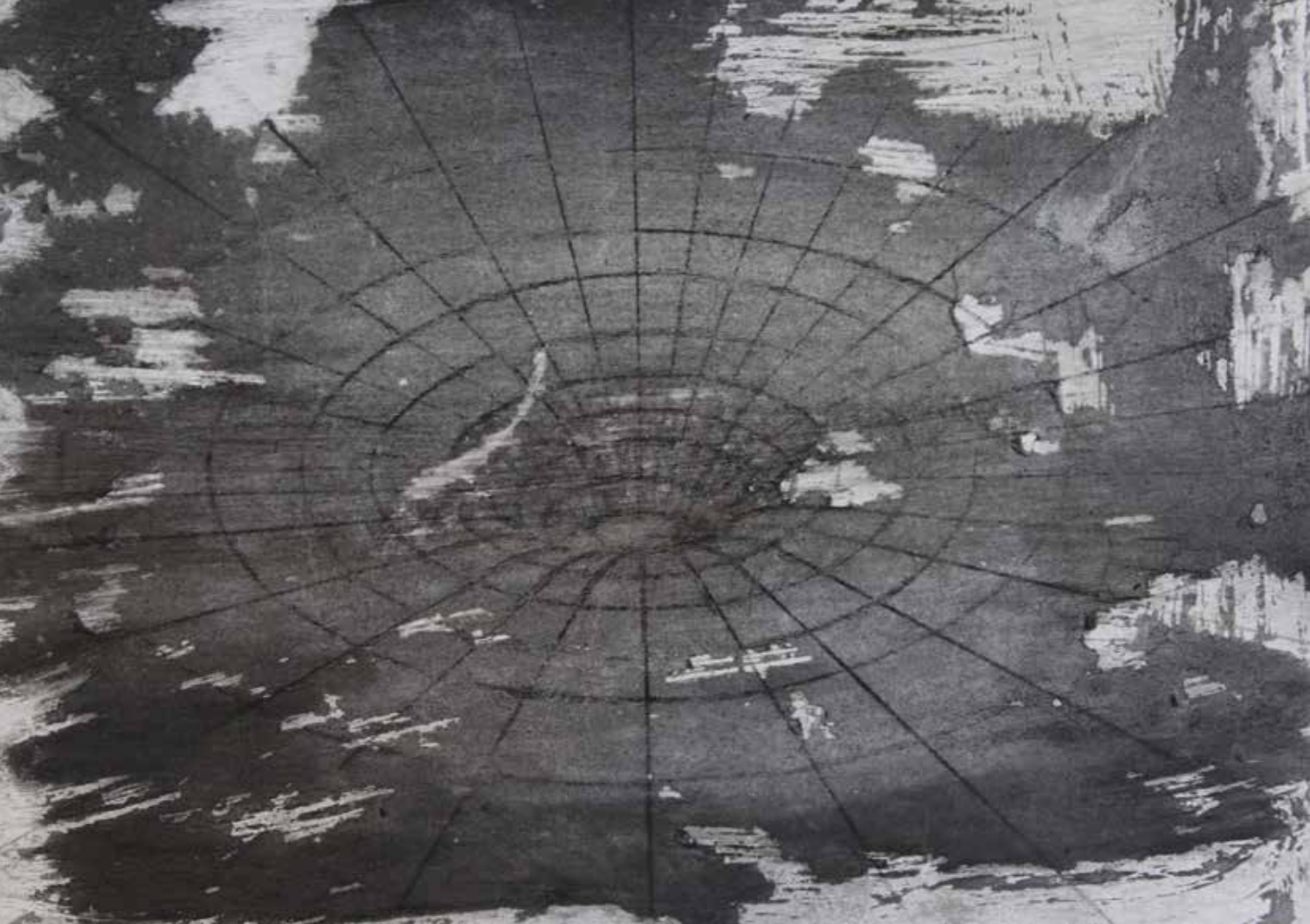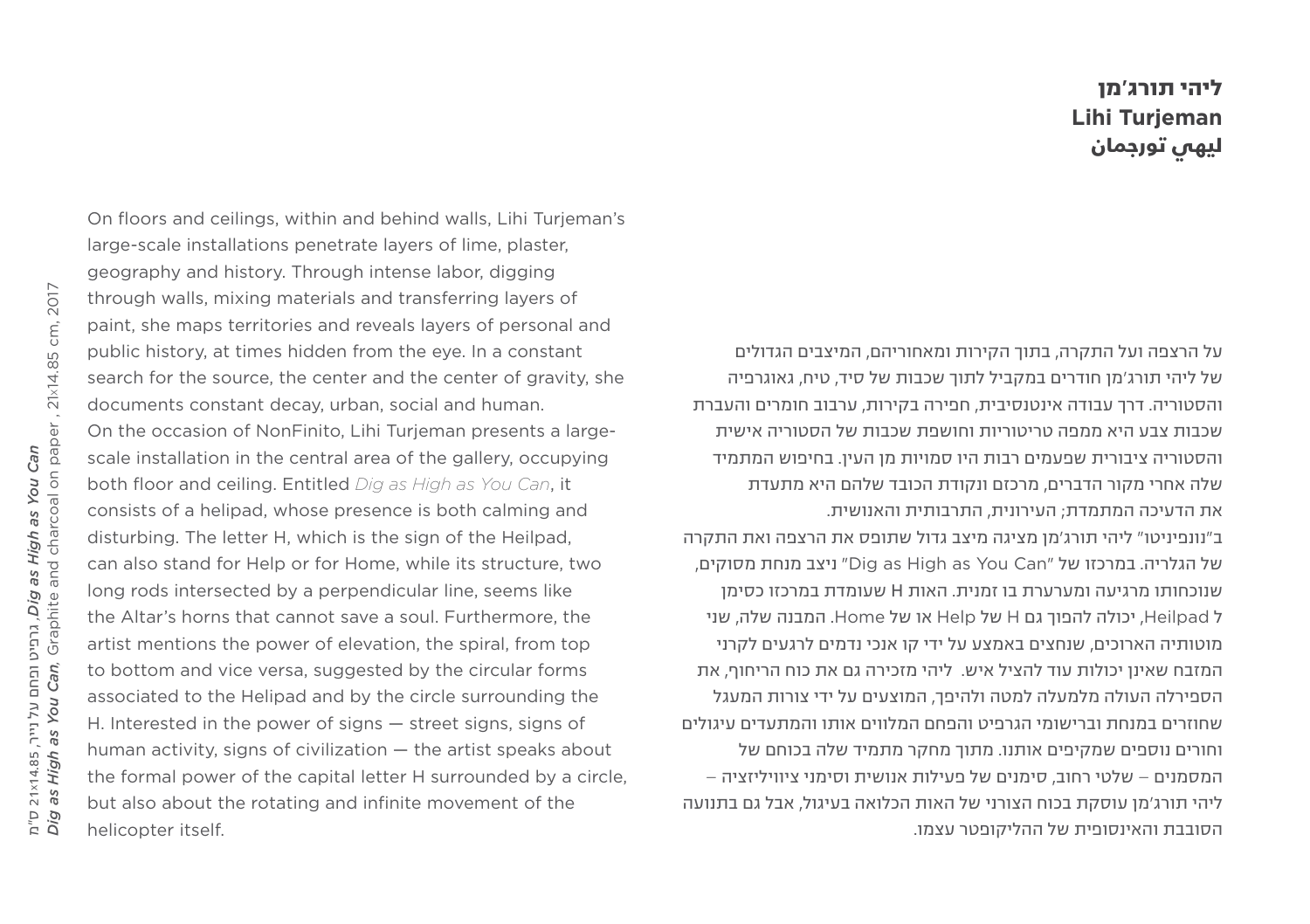מ"ס בו אינויי, 1885, 1987 של הריט ומחם של 1987 של הרפיט וביות השל 1987 של 1987 של 1984 של 1984 של 19<br>Dig as High as You Can, Graphite and charcoal on paper , 2 *Dig as High as You Can,* Graphite and charcoal on paper , 21X14.85 cm, 2017ס״מ 21X14.85 ,נייר על ופחם גרפיט *,Dig as High as You Can*

On floors and ceilings, within and behind walls, Lihi Turjeman's large-scale installations penetrate layers of lime, plaster, geography and history. Through intense labor, digging through walls, mixing materials and transferring layers of paint, she maps territories and reveals layers of personal and public history, at times hidden from the eye. In a constant search for the source, the center and the center of gravity, she documents constant decay, urban, social and human. On the occasion of NonFinito, Lihi Turjeman presents a largescale installation in the central area of the gallery, occupying both floor and ceiling. Entitled *Dig as High as You Can*, it consists of a helipad, whose presence is both calming and disturbing. The letter H, which is the sign of the Heilpad, can also stand for Help or for Home, while its structure, two long rods intersected by a perpendicular line, seems like the Altar's horns that cannot save a soul. Furthermore, the artist mentions the power of elevation, the spiral, from top to bottom and vice versa, suggested by the circular forms associated to the Helipad and by the circle surrounding the H. Interested in the power of signs — street signs, signs of human activity, signs of civilization — the artist speaks about the formal power of the capital letter H surrounded by a circle, but also about the rotating and infinite movement of the helicopter itself.

על הרצפה ועל התקרה, בתוך הקירות ומאחוריהם, המיצבים הגדולים של ליהי תורג'מן חודרים במקביל לתוך שכבות של סיד, טיח, גאוגרפיה והסטוריה. דרך עבודה אינטנסיבית, חפירה בקירות, ערבוב חומרים והעברת שכבות צבע היא ממפה טריטוריות וחושפת שכבות של הסטוריה אישית והסטוריה ציבורית שפעמים רבות היו סמויות מן העין. בחיפוש המתמיד שלה אחרי מקור הדברים, מרכזם ונקודת הכובד שלהם היא מתעדת את הדעיכה המתמדת; העירונית, התרבותית והאנושית. ב"נונפיניטו" ליהי תורג'מן מציגה מיצב גדול שתופס את הרצפה ואת התקרה של הגלריה. במרכזו של "Can You as High as Dig "ניצב מנחת מסוקים, שנוכחותו מרגיעה ומערערת בו זמנית. האות H שעומדת במרכזו כסימן ל Heilpad, יכולה להפוך גם H של Help או של Home. המבנה שלה, שני מוטותיה הארוכים, שנחצים באמצע על ידי קו אנכי נדמים לרגעים לקרני המזבח שאינן יכולות עוד להציל איש. ליהי מזכירה גם את כוח הריחוף, את הספירלה העולה מלמעלה למטה ולהיפך, המוצעים על ידי צורות המעגל שחוזרים במנחת וברישומי הגרפיט והפחם המלווים אותו והמתעדים עיגולים וחורים נוספים שמקיפים אותנו. מתוך מחקר מתמיד שלה בכוחם של המסמנים — שלטי רחוב, סימנים של פעילות אנושית וסימני ציוויליזציה — ליהי תורג'מן עוסקת בכוח הצורני של האות הכלואה בעיגול, אבל גם בתנועה הסובבת והאינסופית של ההליקופטר עצמו.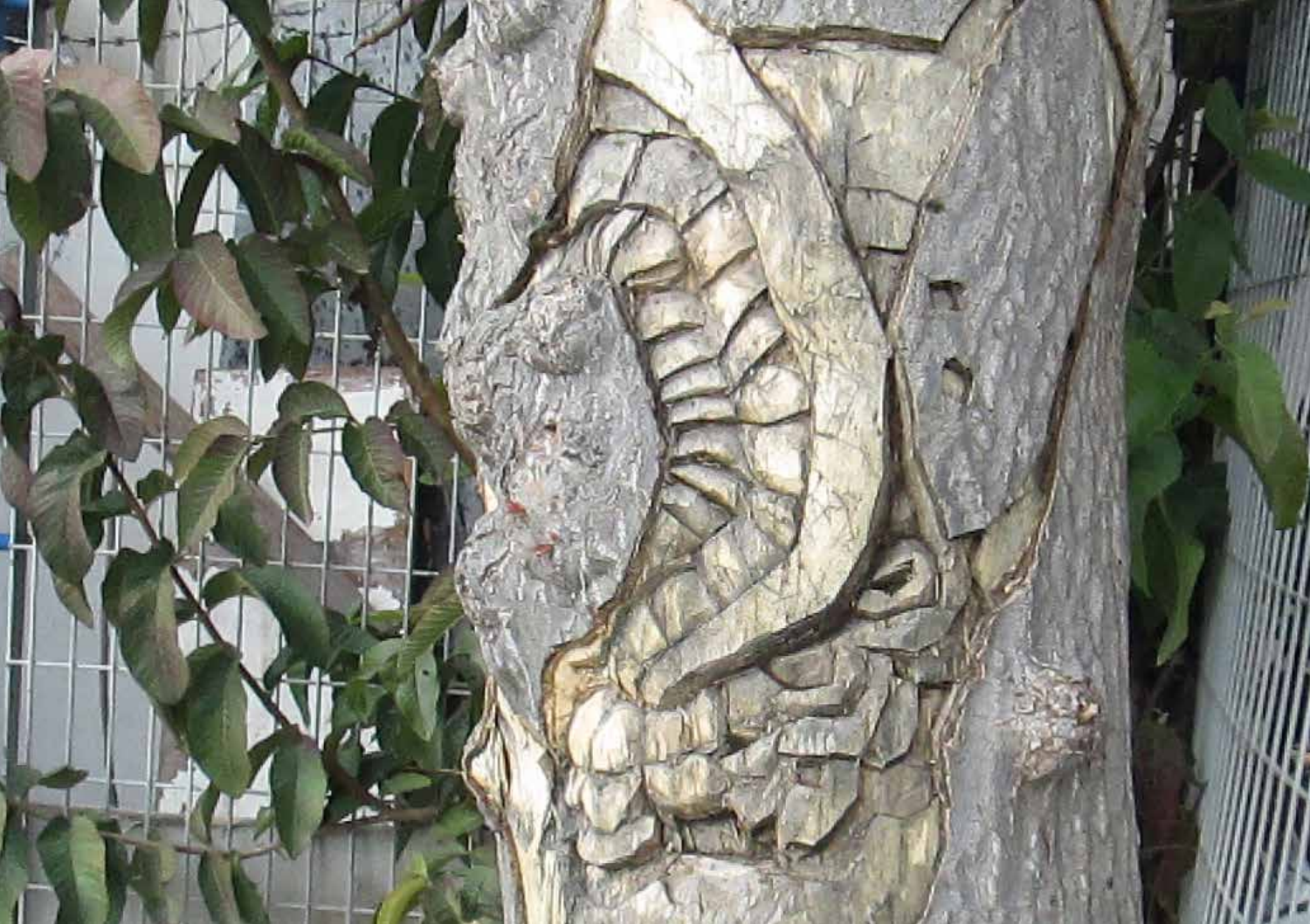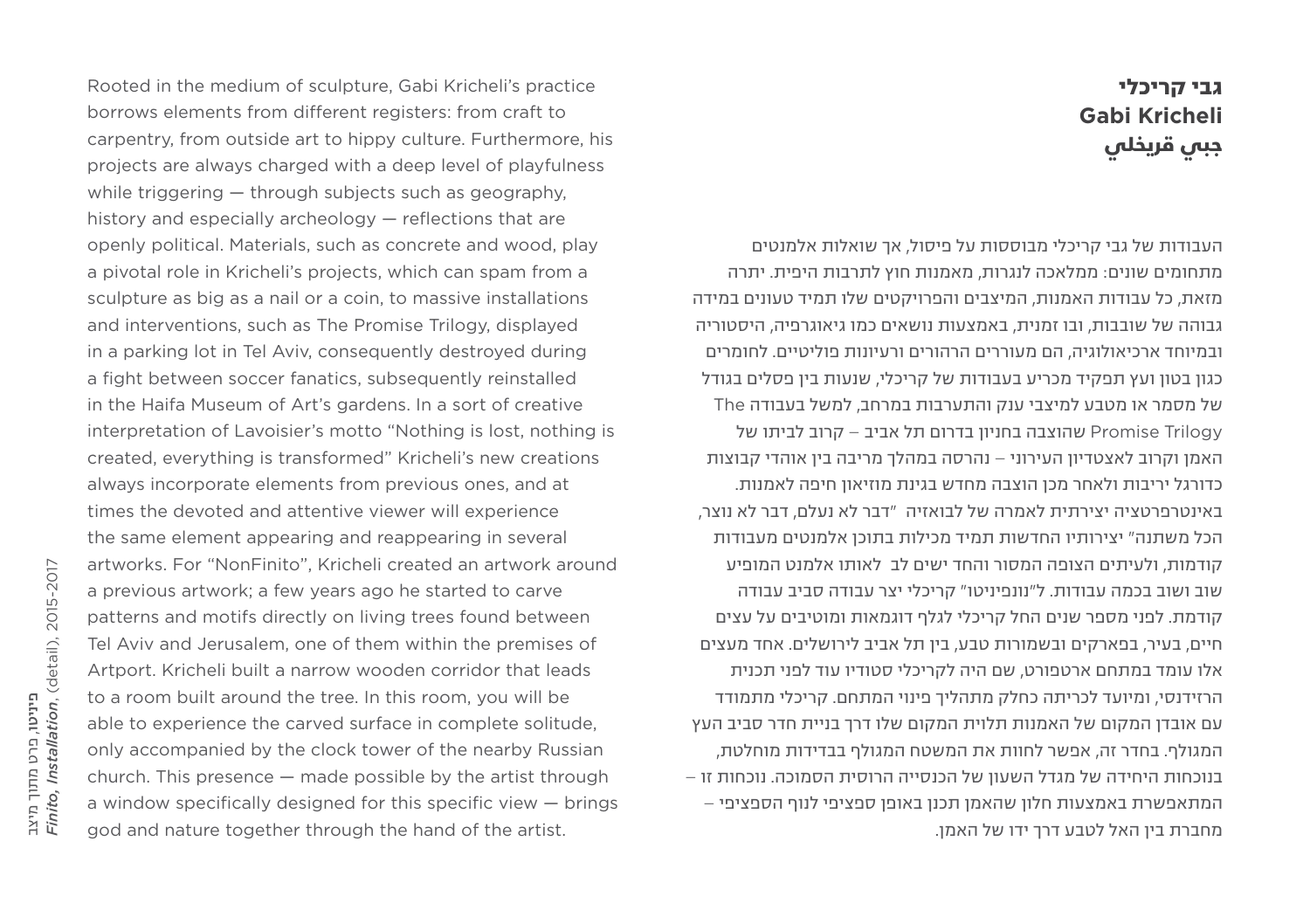**גבי קריכלי Gabi Kricheli** جبي قريخلي

העבודות של גבי קריכלי מבוססות על פיסול, אך שואלות אלמנטים מתחומים שונים: ממלאכה לנגרות, מאמנות חוץ לתרבות היפית. יתרה מזאת, כל עבודות האמנות, המיצבים והפרויקטים שלו תמיד טעונים במידה גבוהה של שובבות, ובו זמנית, באמצעות נושאים כמו גיאוגרפיה, היסטוריה ובמיוחד ארכיאולוגיה, הם מעוררים הרהורים ורעיונות פוליטיים. לחומרים כגון בטון ועץ תפקיד מכריע בעבודות של קריכלי, שנעות בין פסלים בגודל של מסמר או מטבע למיצבי ענק והתערבות במרחב, למשל בעבודה The Trilogy Promise שהוצבה בחניון בדרום תל אביב — קרוב לביתו של האמן וקרוב לאצטדיון העירוני — נהרסה במהלך מריבה בין אוהדי קבוצות כדורגל יריבות ולאחר מכן הוצבה מחדש בגינת מוזיאון חיפה לאמנות. באינטרפרטציה יצירתית לאמרה של לבואזיה ״דבר לא נעלם, דבר לא נוצר, הכל משתנה״ יצירותיו החדשות תמיד מכילות בתוכן אלמנטים מעבודות קודמות, ולעיתים הצופה המסור והחד ישים לב לאותו אלמנט המופיע שוב ושוב בכמה עבודות. ל״נונפיניטו״ קריכלי יצר עבודה סביב עבודה קודמת. לפני מספר שנים החל קריכלי לגלף דוגמאות ומוטיבים על עצים חיים, בעיר, בפארקים ובשמורות טבע, בין תל אביב לירושלים. אחד מעצים אלו עומד במתחם ארטפורט, שם היה לקריכלי סטודיו עוד לפני תכנית הרזידנסי, ומיועד לכריתה כחלק מתהליך פינוי המתחם. קריכלי מתמודד עם אובדן המקום של האמנות תלוית המקום שלו דרך בניית חדר סביב העץ המגולף. בחדר זה, אפשר לחוות את המשטח המגולף בבדידות מוחלטת, בנוכחות היחידה של מגדל השעון של הכנסייה הרוסית הסמוכה. נוכחות זו — המתאפשרת באמצעות חלון שהאמן תכנן באופן ספציפי לנוף הספציפי — מחברת בין האל לטבע דרך ידו של האמן.

Rooted in the medium of sculpture, Gabi Kricheli's practice borrows elements from different registers: from craft to carpentry, from outside art to hippy culture. Furthermore, his projects are always charged with a deep level of playfulness while triggering — through subjects such as geography, history and especially archeology — reflections that are openly political. Materials, such as concrete and wood, play a pivotal role in Kricheli's projects, which can spam from a sculpture as big as a nail or a coin, to massive installations and interventions, such as The Promise Trilogy, displayed in a parking lot in Tel Aviv, consequently destroyed during a fight between soccer fanatics, subsequently reinstalled in the Haifa Museum of Art's gardens. In a sort of creative interpretation of Lavoisier's motto "Nothing is lost, nothing is created, everything is transformed" Kricheli's new creations always incorporate elements from previous ones, and at times the devoted and attentive viewer will experience the same element appearing and reappearing in several artworks. For "NonFinito", Kricheli created an artwork around a previous artwork; a few years ago he started to carve patterns and motifs directly on living trees found between Tel Aviv and Jerusalem, one of them within the premises of Artport. Kricheli built a narrow wooden corridor that leads to a room built around the tree. In this room, you will be able to experience the carved surface in complete solitude, only accompanied by the clock tower of the nearby Russian church. This presence — made possible by the artist through a window specifically designed for this specific view — brings god and nature together through the hand of the artist.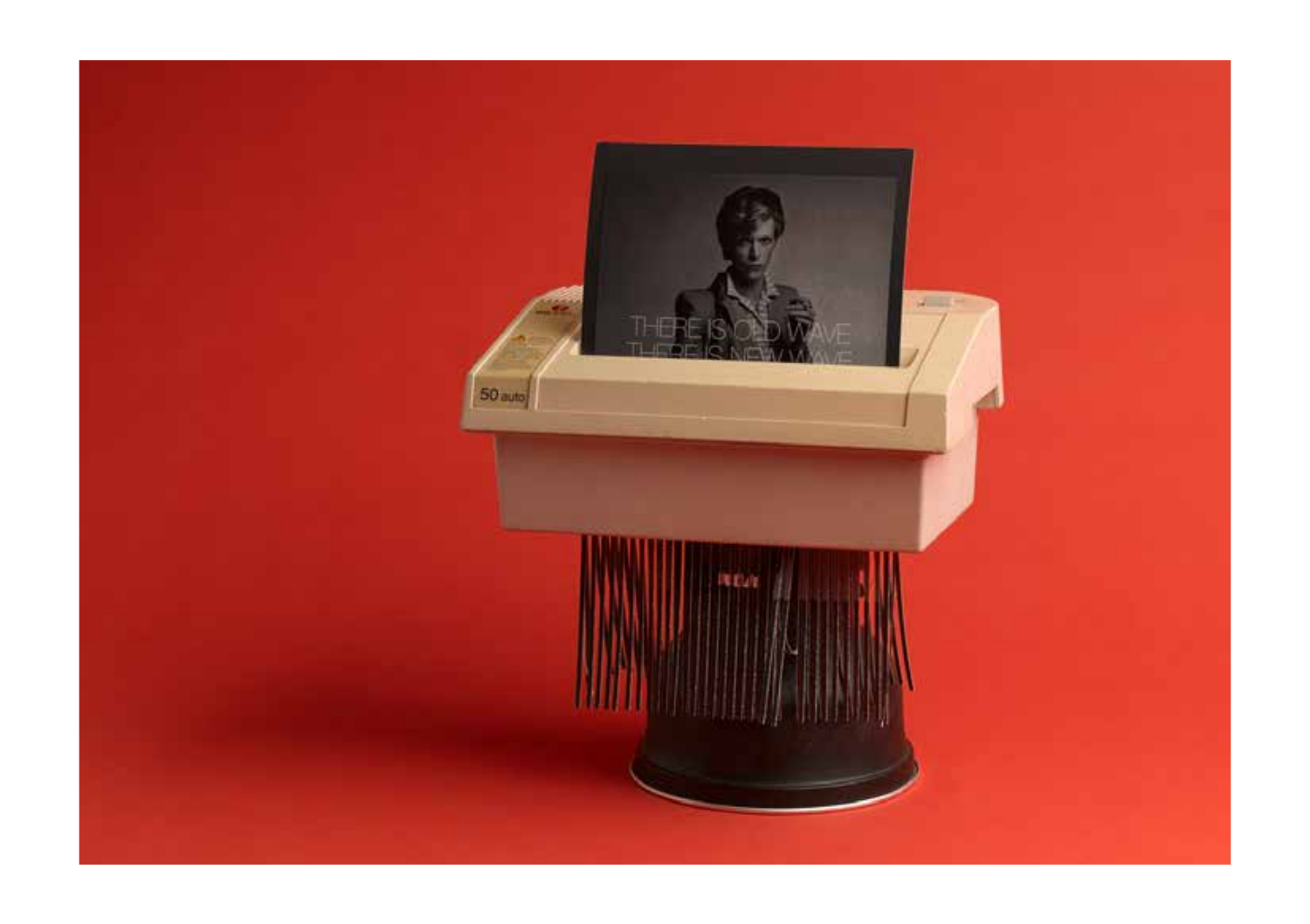